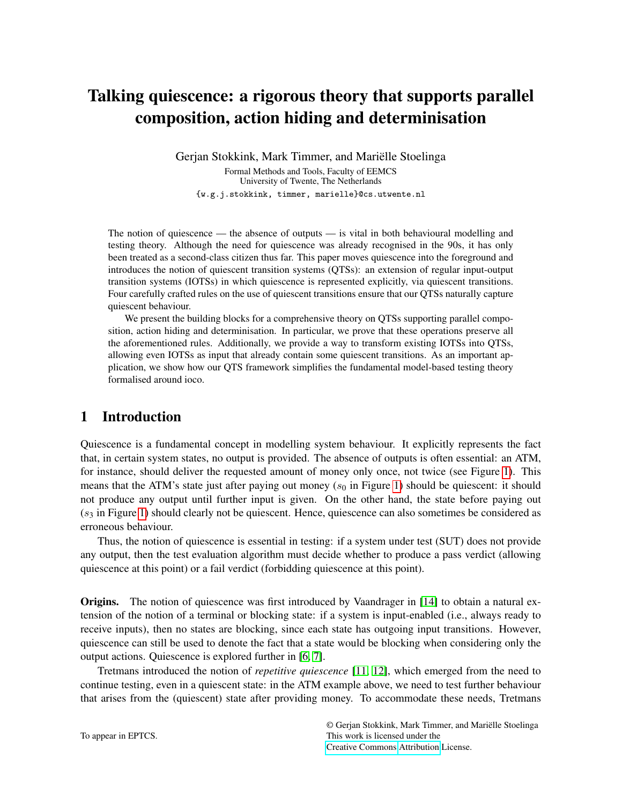# Talking quiescence: a rigorous theory that supports parallel composition, action hiding and determinisation

Gerjan Stokkink, Mark Timmer, and Mariëlle Stoelinga Formal Methods and Tools, Faculty of EEMCS University of Twente, The Netherlands {w.g.j.stokkink, timmer, marielle}@cs.utwente.nl

The notion of quiescence — the absence of outputs — is vital in both behavioural modelling and testing theory. Although the need for quiescence was already recognised in the 90s, it has only been treated as a second-class citizen thus far. This paper moves quiescence into the foreground and introduces the notion of quiescent transition systems (QTSs): an extension of regular input-output transition systems (IOTSs) in which quiescence is represented explicitly, via quiescent transitions. Four carefully crafted rules on the use of quiescent transitions ensure that our QTSs naturally capture quiescent behaviour.

We present the building blocks for a comprehensive theory on QTSs supporting parallel composition, action hiding and determinisation. In particular, we prove that these operations preserve all the aforementioned rules. Additionally, we provide a way to transform existing IOTSs into QTSs, allowing even IOTSs as input that already contain some quiescent transitions. As an important application, we show how our QTS framework simplifies the fundamental model-based testing theory formalised around ioco.

# 1 Introduction

Quiescence is a fundamental concept in modelling system behaviour. It explicitly represents the fact that, in certain system states, no output is provided. The absence of outputs is often essential: an ATM, for instance, should deliver the requested amount of money only once, not twice (see Figure [1\)](#page-1-0). This means that the ATM's state just after paying out money ( $s_0$  in Figure [1\)](#page-1-0) should be quiescent: it should not produce any output until further input is given. On the other hand, the state before paying out  $(s<sub>3</sub>$  in Figure [1\)](#page-1-0) should clearly not be quiescent. Hence, quiescence can also sometimes be considered as erroneous behaviour.

Thus, the notion of quiescence is essential in testing: if a system under test (SUT) does not provide any output, then the test evaluation algorithm must decide whether to produce a pass verdict (allowing quiescence at this point) or a fail verdict (forbidding quiescence at this point).

Origins. The notion of quiescence was first introduced by Vaandrager in [\[14\]](#page-14-0) to obtain a natural extension of the notion of a terminal or blocking state: if a system is input-enabled (i.e., always ready to receive inputs), then no states are blocking, since each state has outgoing input transitions. However, quiescence can still be used to denote the fact that a state would be blocking when considering only the output actions. Quiescence is explored further in [\[6,](#page-14-1) [7\]](#page-14-2).

Tretmans introduced the notion of *repetitive quiescence* [\[11,](#page-14-3) [12\]](#page-14-4), which emerged from the need to continue testing, even in a quiescent state: in the ATM example above, we need to test further behaviour that arises from the (quiescent) state after providing money. To accommodate these needs, Tretmans

© Gerjan Stokkink, Mark Timmer, and Mariëlle Stoelinga This work is licensed under the [Creative Commons](http://creativecommons.org) [Attribution](http://creativecommons.org/licenses/by/3.0/) License.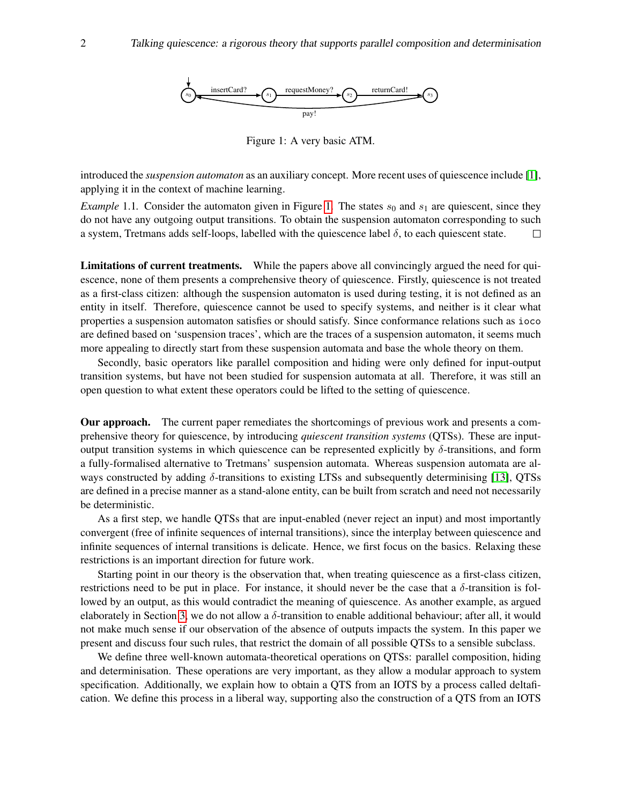

<span id="page-1-0"></span>Figure 1: A very basic ATM.

introduced the *suspension automaton* as an auxiliary concept. More recent uses of quiescence include [\[1\]](#page-14-5), applying it in the context of machine learning.

*Example* [1.](#page-1-0)1. Consider the automaton given in Figure 1. The states  $s_0$  and  $s_1$  are quiescent, since they do not have any outgoing output transitions. To obtain the suspension automaton corresponding to such a system, Tretmans adds self-loops, labelled with the quiescence label  $\delta$ , to each quiescent state.  $\Box$ 

Limitations of current treatments. While the papers above all convincingly argued the need for quiescence, none of them presents a comprehensive theory of quiescence. Firstly, quiescence is not treated as a first-class citizen: although the suspension automaton is used during testing, it is not defined as an entity in itself. Therefore, quiescence cannot be used to specify systems, and neither is it clear what properties a suspension automaton satisfies or should satisfy. Since conformance relations such as ioco are defined based on 'suspension traces', which are the traces of a suspension automaton, it seems much more appealing to directly start from these suspension automata and base the whole theory on them.

Secondly, basic operators like parallel composition and hiding were only defined for input-output transition systems, but have not been studied for suspension automata at all. Therefore, it was still an open question to what extent these operators could be lifted to the setting of quiescence.

Our approach. The current paper remediates the shortcomings of previous work and presents a comprehensive theory for quiescence, by introducing *quiescent transition systems* (QTSs). These are inputoutput transition systems in which quiescence can be represented explicitly by δ-transitions, and form a fully-formalised alternative to Tretmans' suspension automata. Whereas suspension automata are always constructed by adding  $\delta$ -transitions to existing LTSs and subsequently determinising [\[13\]](#page-14-6), QTSs are defined in a precise manner as a stand-alone entity, can be built from scratch and need not necessarily be deterministic.

As a first step, we handle QTSs that are input-enabled (never reject an input) and most importantly convergent (free of infinite sequences of internal transitions), since the interplay between quiescence and infinite sequences of internal transitions is delicate. Hence, we first focus on the basics. Relaxing these restrictions is an important direction for future work.

Starting point in our theory is the observation that, when treating quiescence as a first-class citizen, restrictions need to be put in place. For instance, it should never be the case that a  $\delta$ -transition is followed by an output, as this would contradict the meaning of quiescence. As another example, as argued elaborately in Section [3,](#page-6-0) we do not allow a  $\delta$ -transition to enable additional behaviour; after all, it would not make much sense if our observation of the absence of outputs impacts the system. In this paper we present and discuss four such rules, that restrict the domain of all possible QTSs to a sensible subclass.

We define three well-known automata-theoretical operations on QTSs: parallel composition, hiding and determinisation. These operations are very important, as they allow a modular approach to system specification. Additionally, we explain how to obtain a QTS from an IOTS by a process called deltafication. We define this process in a liberal way, supporting also the construction of a QTS from an IOTS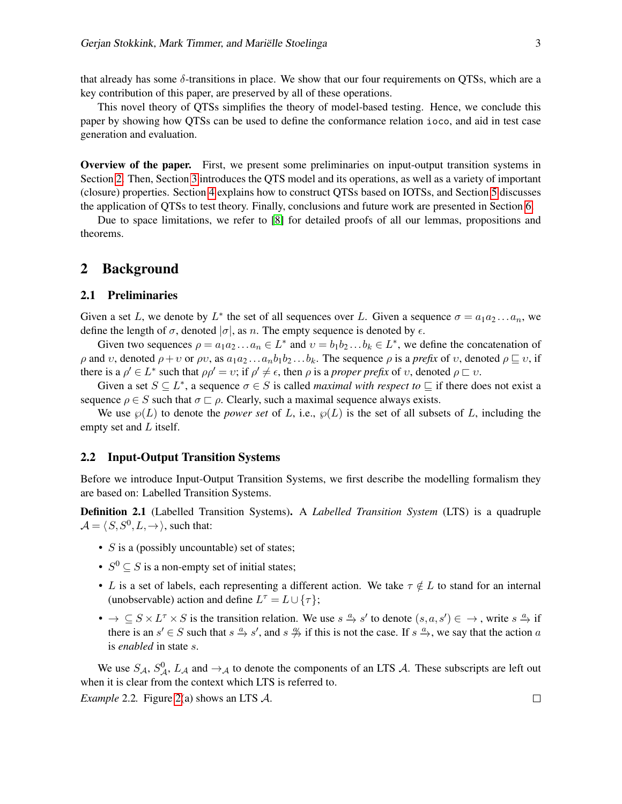that already has some  $\delta$ -transitions in place. We show that our four requirements on QTSs, which are a key contribution of this paper, are preserved by all of these operations.

This novel theory of QTSs simplifies the theory of model-based testing. Hence, we conclude this paper by showing how QTSs can be used to define the conformance relation ioco, and aid in test case generation and evaluation.

Overview of the paper. First, we present some preliminaries on input-output transition systems in Section [2.](#page-2-0) Then, Section [3](#page-6-0) introduces the QTS model and its operations, as well as a variety of important (closure) properties. Section [4](#page-10-0) explains how to construct QTSs based on IOTSs, and Section [5](#page-12-0) discusses the application of QTSs to test theory. Finally, conclusions and future work are presented in Section [6.](#page-13-0)

Due to space limitations, we refer to [\[8\]](#page-14-7) for detailed proofs of all our lemmas, propositions and theorems.

# <span id="page-2-0"></span>2 Background

## 2.1 Preliminaries

Given a set L, we denote by  $L^*$  the set of all sequences over L. Given a sequence  $\sigma = a_1 a_2 ... a_n$ , we define the length of  $\sigma$ , denoted  $|\sigma|$ , as n. The empty sequence is denoted by  $\epsilon$ .

Given two sequences  $\rho = a_1 a_2 ... a_n \in L^*$  and  $v = b_1 b_2 ... b_k \in L^*$ , we define the concatenation of ρ and *v*, denoted  $ρ + ν$  or  $ρν$ , as  $a_1a_2...a_nb_1b_2...b_k$ . The sequence  $ρ$  is a *prefix* of *v*, denoted  $ρ ⊆ ν$ , if there is a  $\rho' \in L^*$  such that  $\rho \rho' = \upsilon$ ; if  $\rho' \neq \epsilon$ , then  $\rho$  is a *proper prefix* of  $\upsilon$ , denoted  $\rho \sqsubset \upsilon$ .

Given a set  $S \subseteq L^*$ , a sequence  $\sigma \in S$  is called *maximal with respect to*  $\sqsubseteq$  if there does not exist a sequence  $\rho \in S$  such that  $\sigma \sqsubset \rho$ . Clearly, such a maximal sequence always exists.

We use  $\wp(L)$  to denote the *power set* of L, i.e.,  $\wp(L)$  is the set of all subsets of L, including the empty set and  $L$  itself.

## 2.2 Input-Output Transition Systems

Before we introduce Input-Output Transition Systems, we first describe the modelling formalism they are based on: Labelled Transition Systems.

Definition 2.1 (Labelled Transition Systems). A *Labelled Transition System* (LTS) is a quadruple  $\mathcal{A} = \langle S, S^0, L, \rightarrow \rangle$ , such that:

- $S$  is a (possibly uncountable) set of states;
- $S^0 \subseteq S$  is a non-empty set of initial states;
- L is a set of labels, each representing a different action. We take  $\tau \notin L$  to stand for an internal (unobservable) action and define  $L^{\tau} = L \cup \{\tau\}$ ;
- $\bullet \to \subseteq S \times L^{\tau} \times S$  is the transition relation. We use  $s \stackrel{a}{\to} s'$  to denote  $(s, a, s') \in \to$ , write  $s \stackrel{a}{\to} i$ f there is an  $s' \in S$  such that  $s \stackrel{a}{\to} s'$ , and  $s \stackrel{a}{\to}$  if this is not the case. If  $s \stackrel{a}{\to}$ , we say that the action a is *enabled* in state s.

We use  $S_A$ ,  $S_A^0$ ,  $L_A$  and  $\rightarrow_A$  to denote the components of an LTS  $A$ . These subscripts are left out when it is clear from the context which LTS is referred to. *Example* 2.2*.* Figure [2\(](#page-3-0)a) shows an LTS A.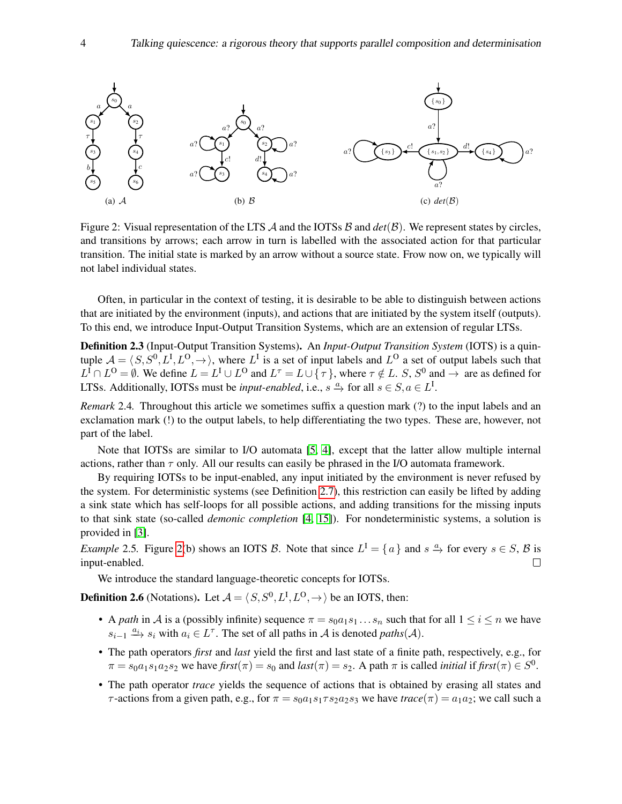

<span id="page-3-0"></span>Figure 2: Visual representation of the LTS  $\mathcal A$  and the IOTSs  $\mathcal B$  and  $det(\mathcal B)$ . We represent states by circles, and transitions by arrows; each arrow in turn is labelled with the associated action for that particular transition. The initial state is marked by an arrow without a source state. Frow now on, we typically will not label individual states.

Often, in particular in the context of testing, it is desirable to be able to distinguish between actions that are initiated by the environment (inputs), and actions that are initiated by the system itself (outputs). To this end, we introduce Input-Output Transition Systems, which are an extension of regular LTSs.

Definition 2.3 (Input-Output Transition Systems). An *Input-Output Transition System* (IOTS) is a quintuple  $A = \langle S, S^0, L^I, L^O, \rightarrow \rangle$ , where  $L^I$  is a set of input labels and  $L^O$  a set of output labels such that  $L^1 \cap L^0 = \emptyset$ . We define  $L = L^1 \cup L^0$  and  $L^{\tau} = L \cup \{\tau\}$ , where  $\tau \notin L$ . S,  $S^0$  and  $\to$  are as defined for LTSs. Additionally, IOTSs must be *input-enabled*, i.e.,  $s \stackrel{a}{\to}$  for all  $s \in S, a \in L^{\text{I}}$ .

*Remark* 2.4. Throughout this article we sometimes suffix a question mark (?) to the input labels and an exclamation mark (!) to the output labels, to help differentiating the two types. These are, however, not part of the label.

Note that IOTSs are similar to I/O automata [\[5,](#page-14-8) [4\]](#page-14-9), except that the latter allow multiple internal actions, rather than  $\tau$  only. All our results can easily be phrased in the I/O automata framework.

By requiring IOTSs to be input-enabled, any input initiated by the environment is never refused by the system. For deterministic systems (see Definition [2.7\)](#page-4-0), this restriction can easily be lifted by adding a sink state which has self-loops for all possible actions, and adding transitions for the missing inputs to that sink state (so-called *demonic completion* [\[4,](#page-14-9) [15\]](#page-14-10)). For nondeterministic systems, a solution is provided in [\[3\]](#page-14-11).

*Example* 2.5. Figure [2\(](#page-3-0)b) shows an IOTS B. Note that since  $L^I = \{a\}$  and  $s \stackrel{a}{\to}$  for every  $s \in S$ , B is input-enabled.  $\Box$ 

We introduce the standard language-theoretic concepts for IOTSs.

**Definition 2.6** (Notations). Let  $\mathcal{A} = \langle S, S^0, L^I, L^O, \rightarrow \rangle$  be an IOTS, then:

- A *path* in A is a (possibly infinite) sequence  $\pi = s_0 a_1 s_1 \dots s_n$  such that for all  $1 \le i \le n$  we have  $s_{i-1} \xrightarrow{a_i} s_i$  with  $a_i \in L^{\tau}$ . The set of all paths in A is denoted *paths*(A).
- The path operators *first* and *last* yield the first and last state of a finite path, respectively, e.g., for  $\pi = s_0 a_1 s_1 a_2 s_2$  we have  $\text{first}(\pi) = s_0$  and  $\text{last}(\pi) = s_2$ . A path  $\pi$  is called *initial* if  $\text{first}(\pi) \in S^0$ .
- The path operator *trace* yields the sequence of actions that is obtained by erasing all states and  $\tau$ -actions from a given path, e.g., for  $\pi = s_0 a_1 s_1 \tau s_2 a_2 s_3$  we have  $trace(\pi) = a_1 a_2$ ; we call such a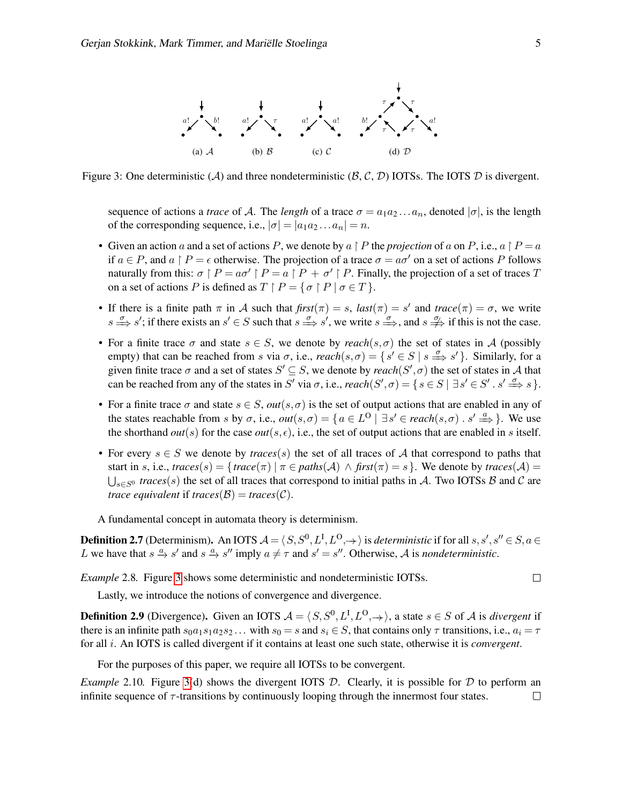

Figure 3: One deterministic (A) and three nondeterministic  $(\mathcal{B}, \mathcal{C}, \mathcal{D})$  IOTSs. The IOTS  $\mathcal{D}$  is divergent.

<span id="page-4-1"></span>sequence of actions a *trace* of A. The *length* of a trace  $\sigma = a_1 a_2 \dots a_n$ , denoted  $|\sigma|$ , is the length of the corresponding sequence, i.e.,  $|\sigma| = |a_1 a_2 ... a_n| = n$ .

- Given an action a and a set of actions P, we denote by  $a \restriction P$  the *projection* of a on P, i.e.,  $a \restriction P = a$ if  $a \in P$ , and  $a \upharpoonright P = \epsilon$  otherwise. The projection of a trace  $\sigma = a\sigma'$  on a set of actions P follows naturally from this:  $\sigma \upharpoonright P = a\sigma' \upharpoonright P = a \upharpoonright P + \sigma' \upharpoonright P$ . Finally, the projection of a set of traces T on a set of actions P is defined as  $T \upharpoonright P = \{ \sigma \upharpoonright P | \sigma \in T \}.$
- If there is a finite path  $\pi$  in A such that  $\hat{f} r s t(\pi) = s$ ,  $\hat{f} l s s t(\pi) = s'$  and  $\hat{f} r s t(\pi) = \sigma$ , we write  $s \stackrel{\sigma}{\Longrightarrow} s'$ ; if there exists an  $s' \in S$  such that  $s \stackrel{\sigma}{\Longrightarrow} s'$ , we write  $s \stackrel{\sigma}{\Longrightarrow}$ , and  $s \stackrel{\sigma}{\Longrightarrow}$  if this is not the case.
- For a finite trace  $\sigma$  and state  $s \in S$ , we denote by *reach*(s, $\sigma$ ) the set of states in A (possibly empty) that can be reached from s via  $\sigma$ , i.e.,  $reach(s,\sigma) = \{ s' \in S \mid s \stackrel{\sigma}{\Longrightarrow} s' \}$ . Similarly, for a given finite trace  $\sigma$  and a set of states  $S' \subseteq S$ , we denote by  $reach(S', \sigma)$  the set of states in A that can be reached from any of the states in S' via  $\sigma$ , i.e.,  $reach(S', \sigma) = \{ s \in S \mid \exists s' \in S' \cdot s' \stackrel{\sigma}{\implies} s \}.$
- For a finite trace  $\sigma$  and state  $s \in S$ ,  $out(s, \sigma)$  is the set of output actions that are enabled in any of the states reachable from s by  $\sigma$ , i.e.,  $out(s, \sigma) = \{a \in L^{\mathbb{O}} \mid \exists s' \in reach(s, \sigma) \cdot s' \stackrel{a}{\Longrightarrow} \}$ . We use the shorthand *out*(s) for the case *out*(s,  $\epsilon$ ), i.e., the set of output actions that are enabled in s itself.
- For every  $s \in S$  we denote by *traces*(s) the set of all traces of A that correspond to paths that start in s, i.e.,  $traces(s) = {trace(\pi) | \pi \in paths(\mathcal{A}) \land first(\pi) = s}$ . We denote by  $traces(\mathcal{A}) =$  $\bigcup_{s \in S^0} traces(s)$  the set of all traces that correspond to initial paths in A. Two IOTSs B and C are *trace equivalent* if *traces* $(\mathcal{B})$  = *traces* $(\mathcal{C})$ *.*

A fundamental concept in automata theory is determinism.

<span id="page-4-0"></span>**Definition 2.7** (Determinism). An IOTS  $A = \langle S, S^0, L^I, L^O, \to \rangle$  is *deterministic* if for all  $s, s', s'' \in S, a \in$ L we have that  $s \xrightarrow{\alpha} s'$  and  $s \xrightarrow{\alpha} s''$  imply  $a \neq \tau$  and  $s' = s''$ . Otherwise, A is *nondeterministic*.

*Example* 2.8*.* Figure [3](#page-4-1) shows some deterministic and nondeterministic IOTSs.

Lastly, we introduce the notions of convergence and divergence.

**Definition 2.9** (Divergence). Given an IOTS  $A = \langle S, S^0, L^I, L^O, \to \rangle$ , a state  $s \in S$  of A is *divergent* if there is an infinite path  $s_0a_1s_1a_2s_2...$  with  $s_0 = s$  and  $s_i \in S$ , that contains only  $\tau$  transitions, i.e.,  $a_i = \tau$ for all i. An IOTS is called divergent if it contains at least one such state, otherwise it is *convergent*.

For the purposes of this paper, we require all IOTSs to be convergent.

*Example* 2.10. Figure [3\(](#page-4-1)d) shows the divergent IOTS D. Clearly, it is possible for D to perform an infinite sequence of  $\tau$ -transitions by continuously looping through the innermost four states.  $\Box$ 

 $\Box$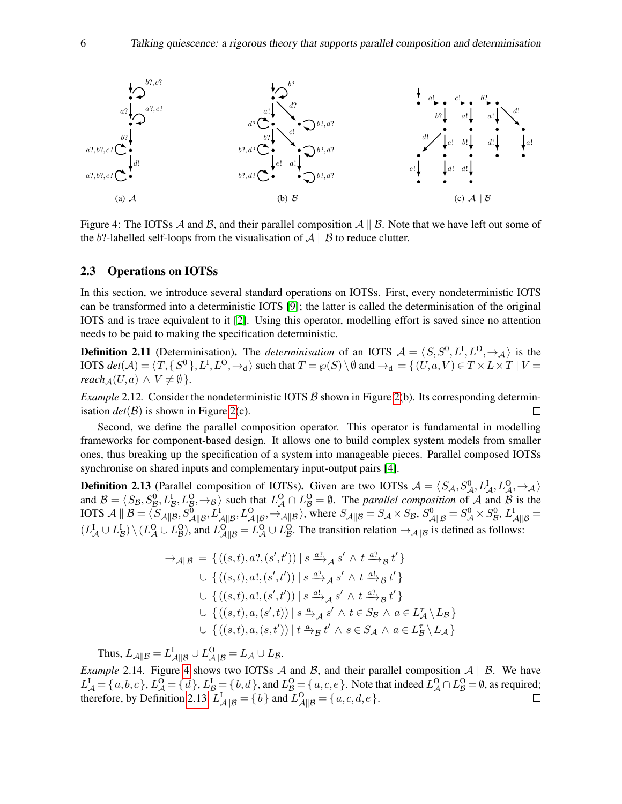

<span id="page-5-0"></span>Figure 4: The IOTSs A and B, and their parallel composition  $A \parallel B$ . Note that we have left out some of the b?-labelled self-loops from the visualisation of  $A \parallel B$  to reduce clutter.

#### 2.3 Operations on IOTSs

In this section, we introduce several standard operations on IOTSs. First, every nondeterministic IOTS can be transformed into a deterministic IOTS [\[9\]](#page-14-12); the latter is called the determinisation of the original IOTS and is trace equivalent to it [\[2\]](#page-14-13). Using this operator, modelling effort is saved since no attention needs to be paid to making the specification deterministic.

**Definition 2.11** (Determinisation). The *determinisation* of an IOTS  $A = \langle S, S^0, L^I, L^O, \rightarrow_A \rangle$  is the IOTS  $det(\mathcal{A}) = \langle T, \{S^0\}, L^{\text{I}}, L^{\text{O}}, \rightarrow_\text{d}\rangle$  such that  $T = \wp(S) \setminus \emptyset$  and  $\rightarrow_\text{d} = \{(U, a, V) \in T \times L \times T \mid V = \emptyset\}$  $reach_A(U, a) \wedge V \neq \emptyset$ .

*Example* 2.12. Consider the nondeterministic IOTS  $\beta$  shown in Figure [2\(](#page-3-0)b). Its corresponding determinisation  $det(\mathcal{B})$  is shown in Figure [2\(](#page-3-0)c).  $\Box$ 

Second, we define the parallel composition operator. This operator is fundamental in modelling frameworks for component-based design. It allows one to build complex system models from smaller ones, thus breaking up the specification of a system into manageable pieces. Parallel composed IOTSs synchronise on shared inputs and complementary input-output pairs [\[4\]](#page-14-9).

<span id="page-5-1"></span>**Definition 2.13** (Parallel composition of IOTSs). Given are two IOTSs  $A = \langle S_A, S_A^0, L_A^1, L_A^0, \rightarrow_A \rangle$ and  $B = \langle S_B, S_B^0, L_B^1, L_B^0, \rightarrow_B \rangle$  such that  $L_A^0 \cap L_B^0 = \emptyset$ . The *parallel composition* of A and B is the IOTS  $\mathcal{A} \parallel \mathcal{B} = \langle S_{\mathcal{A} \parallel \mathcal{B}}, S_{\mathcal{A} \parallel \mathcal{B}}^0, L_{\mathcal{A} \parallel \mathcal{B}}^1, L_{\mathcal{A} \parallel \mathcal{B}}^0, \rightarrow_{\mathcal{A} \parallel \mathcal{B}} \rangle$ , where  $S_{\mathcal{A} \parallel \mathcal{B}} = S_{\mathcal{A}} \times S_{\mathcal{B}}, S_{\mathcal{A} \parallel \mathcal{B}}^0 = S_{\mathcal{A}}^0 \times S_{\mathcal{B}}^0, L_{\mathcal{A} \parallel \mathcal{B}}^1 =$  $(L_A^I \cup L_B^I) \setminus (L_A^O \cup L_B^O)$ , and  $L_{A||B}^O = L_A^O \cup L_B^O$ . The transition relation  $\rightarrow_{A||B}$  is defined as follows:

$$
\rightarrow_{\mathcal{A}||\mathcal{B}} = \{ ((s,t), a?, (s',t')) \mid s \xrightarrow{a?}_{\mathcal{A}} s' \wedge t \xrightarrow{a?}_{\mathcal{B}} t' \}
$$
  
\n
$$
\cup \{ ((s,t), a!, (s',t')) \mid s \xrightarrow{a?}_{\mathcal{A}} s' \wedge t \xrightarrow{a!}_{\mathcal{B}} t' \}
$$
  
\n
$$
\cup \{ ((s,t), a!, (s',t')) \mid s \xrightarrow{a!}_{\mathcal{A}} s' \wedge t \xrightarrow{a?}_{\mathcal{B}} t' \}
$$
  
\n
$$
\cup \{ ((s,t), a, (s',t)) \mid s \xrightarrow{a} \mathcal{A} s' \wedge t \in S_{\mathcal{B}} \wedge a \in L_{\mathcal{A}}^{T} \setminus L_{\mathcal{B}} \}
$$
  
\n
$$
\cup \{ ((s,t), a, (s,t')) \mid t \xrightarrow{a} \mathcal{B} t' \wedge s \in S_{\mathcal{A}} \wedge a \in L_{\mathcal{B}}^{T} \setminus L_{\mathcal{A}} \}
$$

Thus,  $L_{\mathcal{A}||\mathcal{B}} = L_{\mathcal{A}||\mathcal{B}}^{\text{I}} \cup L_{\mathcal{A}||\mathcal{B}}^{\text{O}} = L_{\mathcal{A}} \cup L_{\mathcal{B}}.$ 

*Example* 2.14. Figure [4](#page-5-0) shows two IOTSs A and B, and their parallel composition  $A \parallel B$ . We have  $L^I_{\mathcal{A}} = \{a, b, c\}$ ,  $L^O_{\mathcal{A}} = \{d\}$ ,  $L^I_{\mathcal{B}} = \{b, d\}$ , and  $L^O_{\mathcal{B}} = \{a, c, e\}$ . Note that indeed  $L^O_{\mathcal{A}} \cap L^O_{\mathcal{B}} = \emptyset$ , as required; therefore, by Definition [2.13,](#page-5-1)  $L_{\mathcal{A}||\mathcal{B}}^{\mathcal{I}} = \{b\}$  and  $L_{\mathcal{A}||\mathcal{B}}^{\mathcal{O}} = \{a, c, d, e\}$ .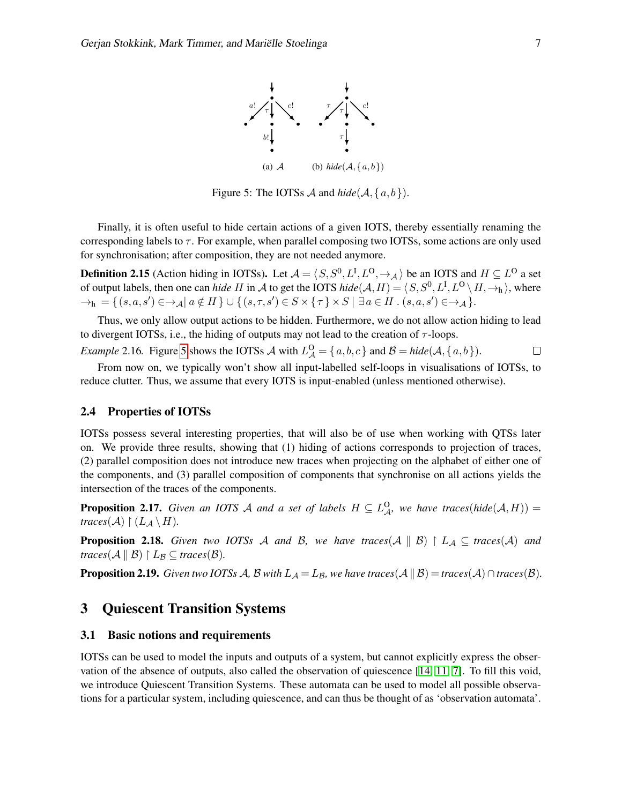

<span id="page-6-1"></span>Figure 5: The IOTSs  $\mathcal A$  and  $hide(\mathcal A, \{a, b\})$ .

Finally, it is often useful to hide certain actions of a given IOTS, thereby essentially renaming the corresponding labels to  $\tau$ . For example, when parallel composing two IOTSs, some actions are only used for synchronisation; after composition, they are not needed anymore.

**Definition 2.15** (Action hiding in IOTSs). Let  $\mathcal{A} = \langle S, S^0, L^I, L^O, \to_{\mathcal{A}} \rangle$  be an IOTS and  $H \subseteq L^O$  a set of output labels, then one can *hide H* in A to get the IOTS  $hide(A, H) = \langle S, S^0, L^I, L^O \setminus H, \to_h \rangle$ , where  $\rightarrow_h$  = { $(s, a, s') \in \rightarrow_A a \notin H$  }  $\cup$  { $(s, \tau, s') \in S \times {\tau} \times S$  |  $\exists a \in H$  .  $(s, a, s') \in \rightarrow_A$  }.

Thus, we only allow output actions to be hidden. Furthermore, we do not allow action hiding to lead to divergent IOTSs, i.e., the hiding of outputs may not lead to the creation of  $\tau$ -loops.

*Example 2.16.* Figure 5 shows the IOTSs 
$$
A
$$
 with  $L_A^O = \{a, b, c\}$  and  $B = hide(A, \{a, b\})$ .

From now on, we typically won't show all input-labelled self-loops in visualisations of IOTSs, to reduce clutter. Thus, we assume that every IOTS is input-enabled (unless mentioned otherwise).

#### <span id="page-6-2"></span>2.4 Properties of IOTSs

IOTSs possess several interesting properties, that will also be of use when working with QTSs later on. We provide three results, showing that (1) hiding of actions corresponds to projection of traces, (2) parallel composition does not introduce new traces when projecting on the alphabet of either one of the components, and (3) parallel composition of components that synchronise on all actions yields the intersection of the traces of the components.

**Proposition 2.17.** *Given an IOTS A and a set of labels*  $H \subseteq L^{\mathbb{Q}}_{\mathcal{A}}$ *, we have traces*(*hide*( $\mathcal{A}, H$ )) = *traces*( $\mathcal{A}$ )  $\restriction$  ( $L_{\mathcal{A}} \setminus H$ ).

**Proposition 2.18.** Given two IOTSs A and B, we have traces(A  $\parallel$  B)  $\restriction$  L<sub>A</sub>  $\subseteq$  traces(A) and *traces*( $\mathcal{A} \parallel \mathcal{B}$ )  $\upharpoonright L_{\mathcal{B}} \subseteq$  *traces*( $\mathcal{B}$ ).

**Proposition 2.19.** *Given two IOTSs A, B with*  $L_A = L_B$ *, we have traces*( $A \parallel B$ ) = *traces*( $A \cap traces(B)$ *.* 

# <span id="page-6-0"></span>3 Quiescent Transition Systems

## 3.1 Basic notions and requirements

IOTSs can be used to model the inputs and outputs of a system, but cannot explicitly express the observation of the absence of outputs, also called the observation of quiescence [\[14,](#page-14-0) [11,](#page-14-3) [7\]](#page-14-2). To fill this void, we introduce Quiescent Transition Systems. These automata can be used to model all possible observations for a particular system, including quiescence, and can thus be thought of as 'observation automata'.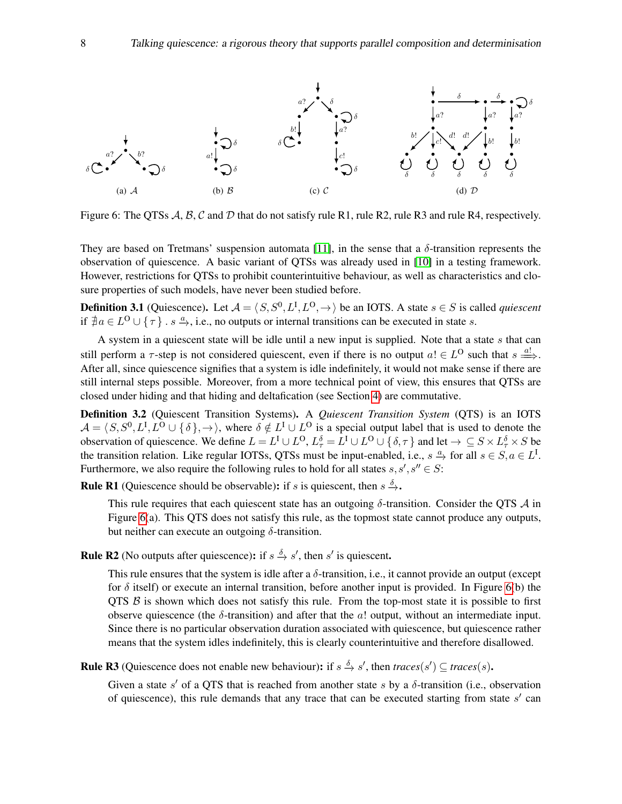

<span id="page-7-0"></span>Figure 6: The QTSs  $\mathcal{A}, \mathcal{B}, \mathcal{C}$  and  $\mathcal{D}$  that do not satisfy rule R1, rule R2, rule R3 and rule R4, respectively.

They are based on Tretmans' suspension automata [\[11\]](#page-14-3), in the sense that a  $\delta$ -transition represents the observation of quiescence. A basic variant of QTSs was already used in [\[10\]](#page-14-14) in a testing framework. However, restrictions for QTSs to prohibit counterintuitive behaviour, as well as characteristics and closure properties of such models, have never been studied before.

**Definition 3.1** (Quiescence). Let  $A = \langle S, S^0, L^I, L^O, \rightarrow \rangle$  be an IOTS. A state  $s \in S$  is called *quiescent* if  $\exists a \in L^{\mathbb{O}} \cup \{\tau\}$ .  $s \xrightarrow{a}$ , i.e., no outputs or internal transitions can be executed in state s.

A system in a quiescent state will be idle until a new input is supplied. Note that a state  $s$  that can still perform a  $\tau$ -step is not considered quiescent, even if there is no output  $a! \in L^{\Omega}$  such that  $s \stackrel{a!}{\Longrightarrow}$ . After all, since quiescence signifies that a system is idle indefinitely, it would not make sense if there are still internal steps possible. Moreover, from a more technical point of view, this ensures that QTSs are closed under hiding and that hiding and deltafication (see Section [4\)](#page-10-0) are commutative.

<span id="page-7-1"></span>Definition 3.2 (Quiescent Transition Systems). A *Quiescent Transition System* (QTS) is an IOTS  $\mathcal{A} = \langle S, S^0, L^I, L^O \cup \{\delta\}, \rightarrow \rangle$ , where  $\delta \notin L^I \cup L^O$  is a special output label that is used to denote the observation of quiescence. We define  $L = L^I \cup L^O$ ,  $L^{\delta}_{\tau} = L^I \cup L^O \cup \{\delta, \tau\}$  and let  $\to \subseteq S \times L^{\delta}_{\tau} \times S$  be the transition relation. Like regular IOTSs, QTSs must be input-enabled, i.e.,  $s \stackrel{a}{\to}$  for all  $s \in S, a \in L^1$ . Furthermore, we also require the following rules to hold for all states  $s, s', s'' \in S$ :

**Rule R1** (Quiescence should be observable): if s is quiescent, then  $s \stackrel{\delta}{\rightarrow}$ .

This rule requires that each quiescent state has an outgoing  $\delta$ -transition. Consider the QTS  $\mathcal A$  in Figure [6\(](#page-7-0)a). This QTS does not satisfy this rule, as the topmost state cannot produce any outputs, but neither can execute an outgoing  $\delta$ -transition.

**Rule R2** (No outputs after quiescence): if  $s \stackrel{\delta}{\to} s'$ , then s' is quiescent.

This rule ensures that the system is idle after a  $\delta$ -transition, i.e., it cannot provide an output (except for  $\delta$  itself) or execute an internal transition, before another input is provided. In Figure [6\(](#page-7-0)b) the  $QTS \beta$  is shown which does not satisfy this rule. From the top-most state it is possible to first observe quiescence (the  $\delta$ -transition) and after that the  $a!$  output, without an intermediate input. Since there is no particular observation duration associated with quiescence, but quiescence rather means that the system idles indefinitely, this is clearly counterintuitive and therefore disallowed.

**Rule R3** (Quiescence does not enable new behaviour): if  $s \xrightarrow{\delta} s'$ , then  $traces(s') \subseteq traces(s)$ .

Given a state  $s'$  of a QTS that is reached from another state s by a  $\delta$ -transition (i.e., observation of quiescence), this rule demands that any trace that can be executed starting from state  $s'$  can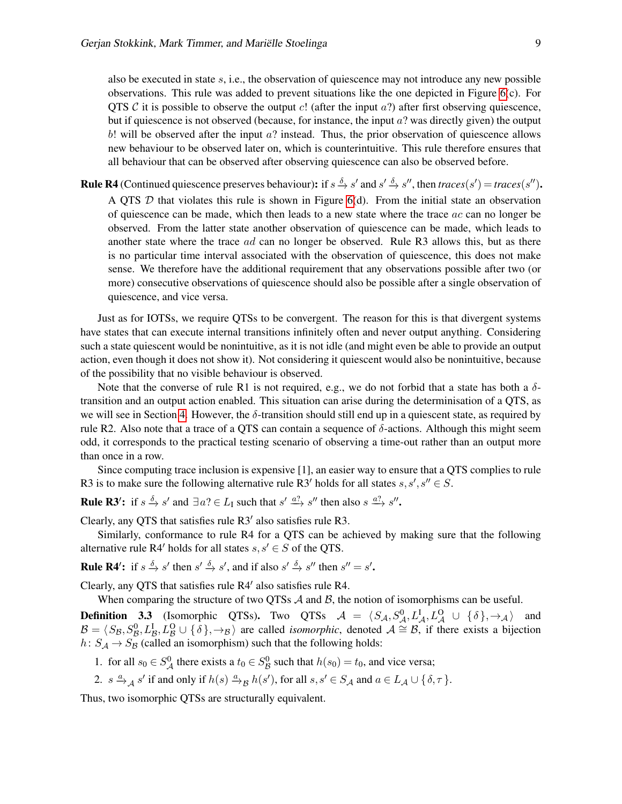also be executed in state  $s$ , i.e., the observation of quiescence may not introduce any new possible observations. This rule was added to prevent situations like the one depicted in Figure [6\(](#page-7-0)c). For QTS C it is possible to observe the output c! (after the input  $a$ ?) after first observing quiescence, but if quiescence is not observed (because, for instance, the input  $a$ ? was directly given) the output  $b!$  will be observed after the input  $a?$  instead. Thus, the prior observation of quiescence allows new behaviour to be observed later on, which is counterintuitive. This rule therefore ensures that all behaviour that can be observed after observing quiescence can also be observed before.

**Rule R4** (Continued quiescence preserves behaviour): if  $s \stackrel{\delta}{\to} s'$  and  $s' \stackrel{\delta}{\to} s''$ , then  $traces(s') = traces(s'')$ . A QTS  $D$  that violates this rule is shown in Figure [6\(](#page-7-0)d). From the initial state an observation of quiescence can be made, which then leads to a new state where the trace  $ac$  can no longer be observed. From the latter state another observation of quiescence can be made, which leads to another state where the trace ad can no longer be observed. Rule R3 allows this, but as there is no particular time interval associated with the observation of quiescence, this does not make sense. We therefore have the additional requirement that any observations possible after two (or more) consecutive observations of quiescence should also be possible after a single observation of quiescence, and vice versa.

Just as for IOTSs, we require QTSs to be convergent. The reason for this is that divergent systems have states that can execute internal transitions infinitely often and never output anything. Considering such a state quiescent would be nonintuitive, as it is not idle (and might even be able to provide an output action, even though it does not show it). Not considering it quiescent would also be nonintuitive, because of the possibility that no visible behaviour is observed.

Note that the converse of rule R1 is not required, e.g., we do not forbid that a state has both a  $\delta$ transition and an output action enabled. This situation can arise during the determinisation of a QTS, as we will see in Section [4.](#page-10-0) However, the  $\delta$ -transition should still end up in a quiescent state, as required by rule R2. Also note that a trace of a QTS can contain a sequence of  $\delta$ -actions. Although this might seem odd, it corresponds to the practical testing scenario of observing a time-out rather than an output more than once in a row.

Since computing trace inclusion is expensive [1], an easier way to ensure that a QTS complies to rule R3 is to make sure the following alternative rule R3' holds for all states  $s, s', s'' \in S$ .

**Rule R3':** if  $s \stackrel{\delta}{\to} s'$  and  $\exists a? \in L_I$  such that  $s' \stackrel{a?}{\to} s''$  then also  $s \stackrel{a?}{\to} s''$ .

Clearly, any QTS that satisfies rule  $R3'$  also satisfies rule  $R3$ .

Similarly, conformance to rule R4 for a QTS can be achieved by making sure that the following alternative rule R4' holds for all states  $s, s' \in S$  of the QTS.

**Rule R4':** if  $s \stackrel{\delta}{\to} s'$  then  $s' \stackrel{\delta}{\to} s'$ , and if also  $s' \stackrel{\delta}{\to} s''$  then  $s'' = s'$ .

Clearly, any QTS that satisfies rule R4' also satisfies rule R4.

When comparing the structure of two QTSs  $A$  and  $B$ , the notion of isomorphisms can be useful.

**Definition 3.3** (Isomorphic QTSs). Two QTSs  $A = \langle S_{A}, S_{A}^{0}, L_{A}^{I}, L_{A}^{O} \cup \{\delta\}, \rightarrow_{A} \rangle$  and  $B = \langle S_B, S_B^0, L_B^1, L_B^0 \cup \{\delta\}, \to_B \rangle$  are called *isomorphic*, denoted  $\mathcal{A} \cong \mathcal{B}$ , if there exists a bijection  $h: S_{\mathcal{A}} \to S_{\mathcal{B}}$  (called an isomorphism) such that the following holds:

- 1. for all  $s_0 \in S^0_A$  there exists a  $t_0 \in S^0_B$  such that  $h(s_0) = t_0$ , and vice versa;
- 2.  $s \xrightarrow{a} s'$  if and only if  $h(s) \xrightarrow{a} h(s')$ , for all  $s, s' \in S_{\mathcal{A}}$  and  $a \in L_{\mathcal{A}} \cup \{ \delta, \tau \}$ .

Thus, two isomorphic QTSs are structurally equivalent.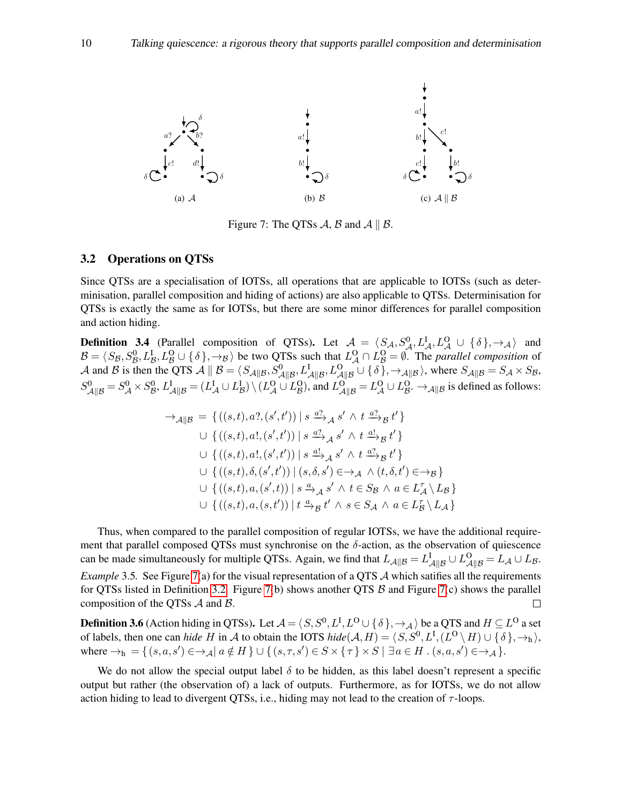

<span id="page-9-0"></span>Figure 7: The QTSs A, B and  $A \parallel B$ .

## 3.2 Operations on QTSs

Since QTSs are a specialisation of IOTSs, all operations that are applicable to IOTSs (such as determinisation, parallel composition and hiding of actions) are also applicable to QTSs. Determinisation for QTSs is exactly the same as for IOTSs, but there are some minor differences for parallel composition and action hiding.

**Definition 3.4** (Parallel composition of QTSs). Let  $\mathcal{A} = \langle S_{\mathcal{A}}, S_{\mathcal{A}}^0, L_{\mathcal{A}}^1, L_{\mathcal{A}}^0 \cup \{\delta\}, \rightarrow_{\mathcal{A}}\rangle$  and  $\mathcal{B} = \langle S_{\mathcal{B}}, S_{\mathcal{B}}^0, L_{\mathcal{B}}^1, L_{\mathcal{B}}^0 \cup \{ \delta \}, \to_{\mathcal{B}} \rangle$  be two QTSs such that  $L_{\mathcal{A}}^0 \cap L_{\mathcal{B}}^0 = \emptyset$ . The *parallel composition* of A and B is then the QTS  $\mathcal{A} \parallel \mathcal{B} = \langle S_{\mathcal{A} \parallel \mathcal{B}}, S_{\mathcal{A} \parallel \mathcal{B}}^0, L_{\mathcal{A} \parallel \mathcal{B}}^1, L_{\mathcal{A} \parallel \mathcal{B}}^0 \cup \{ \delta \}, \rightarrow_{\mathcal{A} \parallel \mathcal{B}} \rangle$ , where  $S_{\mathcal{A} \parallel \mathcal{B}} = S_{\mathcal{A}} \times S_{\mathcal{B}}$ ,  $S_{\mathcal{A}||\mathcal{B}}^{0} = S_{\mathcal{A}}^{0} \times S_{\mathcal{B}}^{0}, L_{\mathcal{A}||\mathcal{B}}^{I} = (L_{\mathcal{A}}^{I} \cup L_{\mathcal{B}}^{I}) \setminus (L_{\mathcal{A}}^{O} \cup L_{\mathcal{B}}^{O}),$  and  $L_{\mathcal{A}||\mathcal{B}}^{O} = L_{\mathcal{A}}^{O} \cup L_{\mathcal{B}}^{O}.$   $\rightarrow_{\mathcal{A}||\mathcal{B}}$  is defined as follows:

$$
\rightarrow_{\mathcal{A}||\mathcal{B}} = \left\{ \left( (s,t), a?, (s',t') \right) \mid s \xrightarrow{a?} {}_{\mathcal{A}} s' \wedge t \xrightarrow{a?} {}_{\mathcal{B}} t' \right\}
$$
  

$$
\cup \left\{ \left( (s,t), a!, (s',t') \right) \mid s \xrightarrow{a?} {}_{\mathcal{A}} s' \wedge t \xrightarrow{a!} {}_{\mathcal{B}} t' \right\}
$$
  

$$
\cup \left\{ \left( (s,t), a!, (s',t') \right) \mid s \xrightarrow{a!} {}_{\mathcal{A}} s' \wedge t \xrightarrow{a?} {}_{\mathcal{B}} t' \right\}
$$
  

$$
\cup \left\{ \left( (s,t), \delta, (s',t') \right) \mid (s, \delta, s') \in \rightarrow_{\mathcal{A}} \wedge (t, \delta, t') \in \rightarrow_{\mathcal{B}} \right\}
$$
  

$$
\cup \left\{ \left( (s,t), a, (s',t) \right) \mid s \xrightarrow{a} {}_{\mathcal{A}} s' \wedge t \in S_{\mathcal{B}} \wedge a \in L_{\mathcal{A}}^{r} \setminus L_{\mathcal{B}} \right\}
$$
  

$$
\cup \left\{ \left( (s,t), a, (s,t') \right) \mid t \xrightarrow{a} {}_{\mathcal{B}} t' \wedge s \in S_{\mathcal{A}} \wedge a \in L_{\mathcal{B}}^{r} \setminus L_{\mathcal{A}} \right\}
$$

Thus, when compared to the parallel composition of regular IOTSs, we have the additional requirement that parallel composed QTSs must synchronise on the  $\delta$ -action, as the observation of quiescence can be made simultaneously for multiple QTSs. Again, we find that  $L_{\mathcal{A}||\mathcal{B}} = L_{\mathcal{A}||\mathcal{B}}^{\mathcal{A}} \cup L_{\mathcal{B}}^{\mathcal{O}} = L_{\mathcal{A}} \cup L_{\mathcal{B}}^{\mathcal{A}}$ . *Example* 3.5. See Figure [7\(](#page-9-0)a) for the visual representation of a QTS A which satifies all the requirements for QTSs listed in Definition [3.2.](#page-7-1) Figure [7\(](#page-9-0)b) shows another QTS  $\beta$  and Figure 7(c) shows the parallel composition of the QTSs A and B.  $\Box$ 

**Definition 3.6** (Action hiding in QTSs). Let  $\mathcal{A} = \langle S, S^0, L^I, L^O \cup \{\delta\}, \to_\mathcal{A} \rangle$  be a QTS and  $H \subseteq L^O$  a set of labels, then one can *hide* H in A to obtain the IOTS  $hide(A, H) = \langle S, S^0, L^I, (L^O \setminus H) \cup \{ \delta \}, \rightarrow_h \rangle$ , where  $\rightarrow_h$  = {  $(s, a, s') \in \rightarrow_A \mid a \notin H$  }  $\cup$  {  $(s, \tau, s') \in S \times \{\tau\} \times S \mid \exists a \in H$  .  $(s, a, s') \in \rightarrow_A$  }.

We do not allow the special output label  $\delta$  to be hidden, as this label doesn't represent a specific output but rather (the observation of) a lack of outputs. Furthermore, as for IOTSs, we do not allow action hiding to lead to divergent QTSs, i.e., hiding may not lead to the creation of  $\tau$ -loops.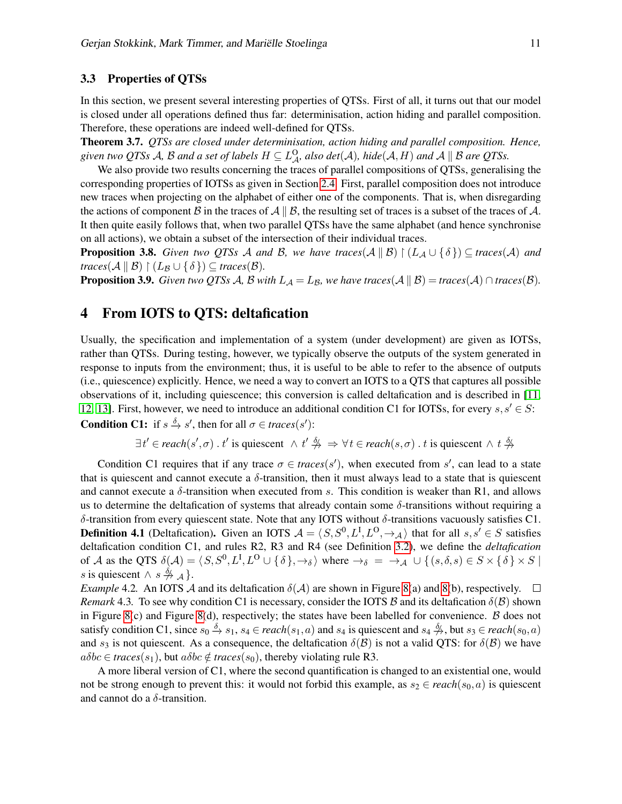## 3.3 Properties of QTSs

In this section, we present several interesting properties of QTSs. First of all, it turns out that our model is closed under all operations defined thus far: determinisation, action hiding and parallel composition. Therefore, these operations are indeed well-defined for QTSs.

Theorem 3.7. *QTSs are closed under determinisation, action hiding and parallel composition. Hence,* given two QTSs A, B and a set of labels  $H\subseteq L^{\mathsf{O}}_{\mathcal{A}'}$  also  $det(\mathcal{A}),$  hide $(\mathcal{A},H)$  and  $\mathcal{A}\parallel\mathcal{B}$  are QTSs.

We also provide two results concerning the traces of parallel compositions of QTSs, generalising the corresponding properties of IOTSs as given in Section [2.4.](#page-6-2) First, parallel composition does not introduce new traces when projecting on the alphabet of either one of the components. That is, when disregarding the actions of component B in the traces of  $\mathcal{A} \parallel \mathcal{B}$ , the resulting set of traces is a subset of the traces of A. It then quite easily follows that, when two parallel QTSs have the same alphabet (and hence synchronise on all actions), we obtain a subset of the intersection of their individual traces.

**Proposition 3.8.** *Given two QTSs A and B, we have traces* $(A \parallel B) \restriction (L_A \cup \{\delta\}) \subseteq$  *traces* $(A)$  *and*  $traces(A \parallel B) \restriction (L_B \cup \{\delta\}) \subseteq traces(B).$ 

**Proposition 3.9.** *Given two QTSs A, B with*  $L_A = L_B$ *, we have traces*( $A \parallel B$ ) = *traces*( $A \cap traces(B)$ *.* 

# <span id="page-10-0"></span>4 From IOTS to QTS: deltafication

Usually, the specification and implementation of a system (under development) are given as IOTSs, rather than QTSs. During testing, however, we typically observe the outputs of the system generated in response to inputs from the environment; thus, it is useful to be able to refer to the absence of outputs (i.e., quiescence) explicitly. Hence, we need a way to convert an IOTS to a QTS that captures all possible observations of it, including quiescence; this conversion is called deltafication and is described in [\[11,](#page-14-3) [12,](#page-14-4) [13\]](#page-14-6). First, however, we need to introduce an additional condition C1 for IOTSs, for every  $s, s' \in S$ : **Condition C1:** if  $s \stackrel{\delta}{\to} s'$ , then for all  $\sigma \in \text{traces}(s')$ :

$$
\exists t' \in reach(s', \sigma) \; . \; t' \text{ is quiescent } \land t' \stackrel{\delta}{\to} \Rightarrow \forall t \in reach(s, \sigma) \; . \; t \text{ is quiescent } \land t \stackrel{\delta}{\to} \neg
$$

Condition C1 requires that if any trace  $\sigma \in \text{traces}(s')$ , when executed from s', can lead to a state that is quiescent and cannot execute a  $\delta$ -transition, then it must always lead to a state that is quiescent and cannot execute a  $\delta$ -transition when executed from s. This condition is weaker than R1, and allows us to determine the deltafication of systems that already contain some  $\delta$ -transitions without requiring a δ-transition from every quiescent state. Note that any IOTS without δ-transitions vacuously satisfies C1. **Definition 4.1** (Deltafication). Given an IOTS  $A = \langle S, S^0, L^I, L^O, \rightarrow_A \rangle$  that for all  $s, s' \in S$  satisfies deltafication condition C1, and rules R2, R3 and R4 (see Definition [3.2\)](#page-7-1), we define the *deltafication* of A as the QTS  $\delta(A) = \langle S, S^0, L^I, L^O \cup \{\delta\}, \rightarrow_{\delta} \rangle$  where  $\rightarrow_{\delta} = \rightarrow_{\mathcal{A}} \cup \{(s, \delta, s) \in S \times \{\delta\} \times S \mid \delta\}$ s is quiescent  $\wedge s \stackrel{\delta}{\nrightarrow} A$ .

*Example* 4.2. An IOTS A and its deltafication  $\delta(A)$  are shown in Figure [8\(](#page-11-0)a) and 8(b), respectively.  $\Box$ *Remark* 4.3. To see why condition C1 is necessary, consider the IOTS  $\beta$  and its deltafication  $\delta(\beta)$  shown in Figure [8\(](#page-11-0)c) and Figure 8(d), respectively; the states have been labelled for convenience.  $\beta$  does not satisfy condition C1, since  $s_0 \xrightarrow{\delta} s_1$ ,  $s_4 \in reach(s_1, a)$  and  $s_4$  is quiescent and  $s_4 \xrightarrow{\delta}$ , but  $s_3 \in reach(s_0, a)$ and  $s_3$  is not quiescent. As a consequence, the deltafication  $\delta(\mathcal{B})$  is not a valid QTS: for  $\delta(\mathcal{B})$  we have  $a\delta bc \in traces(s_1)$ , but  $a\delta bc \notin traces(s_0)$ , thereby violating rule R3.

A more liberal version of C1, where the second quantification is changed to an existential one, would not be strong enough to prevent this: it would not forbid this example, as  $s_2 \in reach(s_0, a)$  is quiescent and cannot do a  $\delta$ -transition.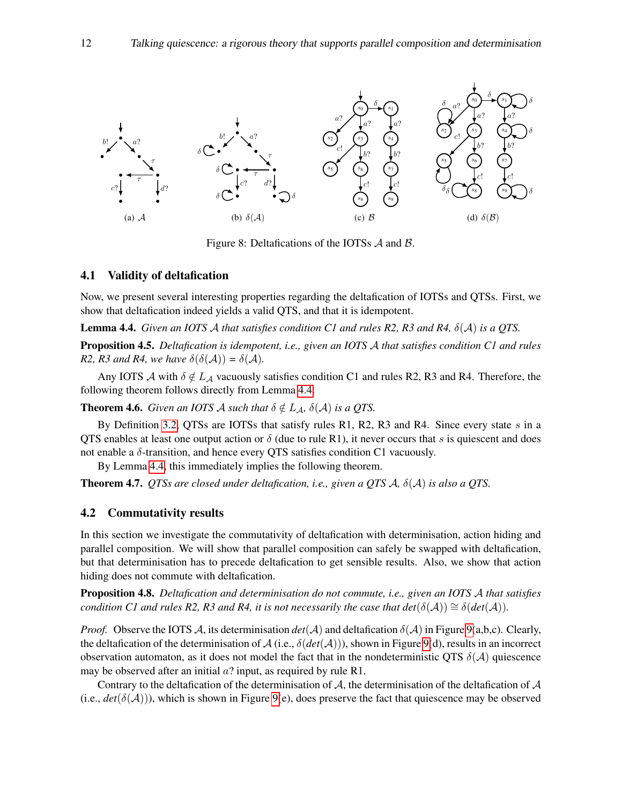

<span id="page-11-0"></span>Figure 8: Deltafications of the IOTSs A and B.

### 4.1 Validity of deltafication

Now, we present several interesting properties regarding the deltafication of IOTSs and QTSs. First, we show that deltafication indeed yields a valid QTS, and that it is idempotent.

<span id="page-11-1"></span>Lemma 4.4. *Given an IOTS* A *that satisfies condition C1 and rules R2, R3 and R4,* δ(A) *is a QTS.*

Proposition 4.5. *Deltafication is idempotent, i.e., given an IOTS* A *that satisfies condition C1 and rules R2, R3 and R4, we have*  $\delta(\delta(\mathcal{A})) = \delta(\mathcal{A})$ *.* 

Any IOTS  $\mathcal A$  with  $\delta \notin L_{\mathcal A}$  vacuously satisfies condition C1 and rules R2, R3 and R4. Therefore, the following theorem follows directly from Lemma [4.4.](#page-11-1)

**Theorem 4.6.** *Given an IOTS A such that*  $\delta \notin L_{\mathcal{A}}$ ,  $\delta(\mathcal{A})$  *is a QTS.* 

By Definition [3.2,](#page-7-1) QTSs are IOTSs that satisfy rules R1, R2, R3 and R4. Since every state  $s$  in a QTS enables at least one output action or  $\delta$  (due to rule R1), it never occurs that s is quiescent and does not enable a  $\delta$ -transition, and hence every QTS satisfies condition C1 vacuously.

By Lemma [4.4,](#page-11-1) this immediately implies the following theorem.

Theorem 4.7. *QTSs are closed under deltafication, i.e., given a QTS* A*,* δ(A) *is also a QTS.*

### 4.2 Commutativity results

In this section we investigate the commutativity of deltafication with determinisation, action hiding and parallel composition. We will show that parallel composition can safely be swapped with deltafication, but that determinisation has to precede deltafication to get sensible results. Also, we show that action hiding does not commute with deltafication.

Proposition 4.8. *Deltafication and determinisation do not commute, i.e., given an IOTS* A *that satisfies condition C1 and rules R2, R3 and R4, it is not necessarily the case that det*( $\delta(\mathcal{A}) \cong \delta(det(\mathcal{A}))$ *.* 

*Proof.* Observe the IOTS A, its determinisation  $det(A)$  and deltafication  $\delta(A)$  in Figure [9\(](#page-12-1)a,b,c). Clearly, the deltafication of the determinisation of  $A$  (i.e.,  $\delta(det(A)))$ , shown in Figure [9\(](#page-12-1)d), results in an incorrect observation automaton, as it does not model the fact that in the nondeterministic QTS  $\delta(A)$  quiescence may be observed after an initial  $a$ ? input, as required by rule R1.

Contrary to the deltafication of the determinisation of  $A$ , the determinisation of the deltafication of  $A$ (i.e.,  $det(\delta(\mathcal{A}))$ ), which is shown in Figure [9\(](#page-12-1)e), does preserve the fact that quiescence may be observed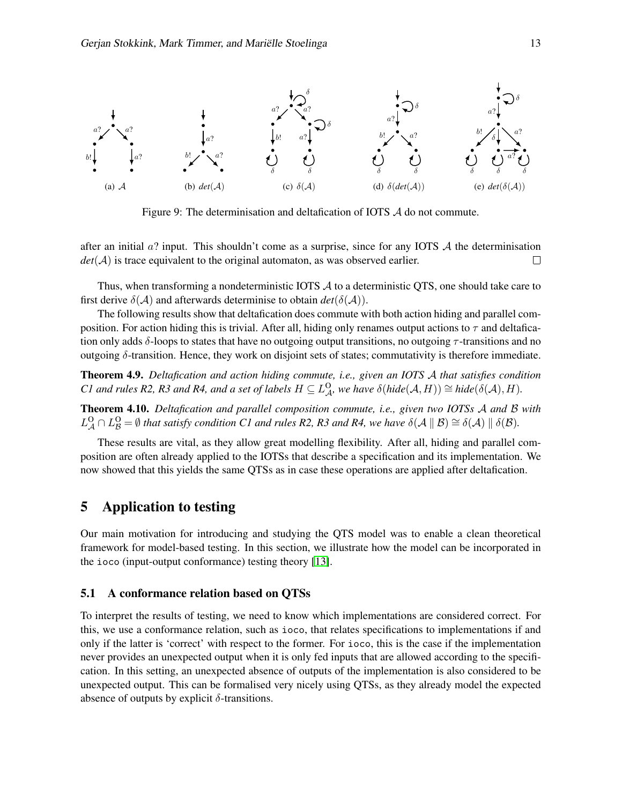

<span id="page-12-1"></span>Figure 9: The determinisation and deltafication of IOTS A do not commute.

after an initial  $a$ ? input. This shouldn't come as a surprise, since for any IOTS  $\mathcal A$  the determinisation  $det(\mathcal{A})$  is trace equivalent to the original automaton, as was observed earlier.  $\Box$ 

Thus, when transforming a nondeterministic IOTS A to a deterministic QTS, one should take care to first derive  $\delta(A)$  and afterwards determinise to obtain  $det(\delta(A))$ .

The following results show that deltafication does commute with both action hiding and parallel composition. For action hiding this is trivial. After all, hiding only renames output actions to  $\tau$  and deltafication only adds δ-loops to states that have no outgoing output transitions, no outgoing  $\tau$ -transitions and no outgoing δ-transition. Hence, they work on disjoint sets of states; commutativity is therefore immediate.

Theorem 4.9. *Deltafication and action hiding commute, i.e., given an IOTS* A *that satisfies condition C1* and rules R2, R3 and R4, and a set of labels  $H \subseteq L^Q_{\mathcal{A}}$ , we have  $\delta(hide(\mathcal{A}, H)) \cong hide(\delta(\mathcal{A}), H)$ .

Theorem 4.10. *Deltafication and parallel composition commute, i.e., given two IOTSs* A *and* B *with*  $L^{\Omega}_{\mathcal{A}} \cap L^{\Omega}_{\mathcal{B}} = \emptyset$  that satisfy condition C1 and rules R2, R3 and R4, we have  $\delta(\mathcal{A} \parallel \mathcal{B}) \cong \delta(\mathcal{A}) \parallel \delta(\mathcal{B})$ .

These results are vital, as they allow great modelling flexibility. After all, hiding and parallel composition are often already applied to the IOTSs that describe a specification and its implementation. We now showed that this yields the same QTSs as in case these operations are applied after deltafication.

# <span id="page-12-0"></span>5 Application to testing

Our main motivation for introducing and studying the QTS model was to enable a clean theoretical framework for model-based testing. In this section, we illustrate how the model can be incorporated in the ioco (input-output conformance) testing theory [\[13\]](#page-14-6).

## 5.1 A conformance relation based on QTSs

To interpret the results of testing, we need to know which implementations are considered correct. For this, we use a conformance relation, such as ioco, that relates specifications to implementations if and only if the latter is 'correct' with respect to the former. For ioco, this is the case if the implementation never provides an unexpected output when it is only fed inputs that are allowed according to the specification. In this setting, an unexpected absence of outputs of the implementation is also considered to be unexpected output. This can be formalised very nicely using QTSs, as they already model the expected absence of outputs by explicit  $\delta$ -transitions.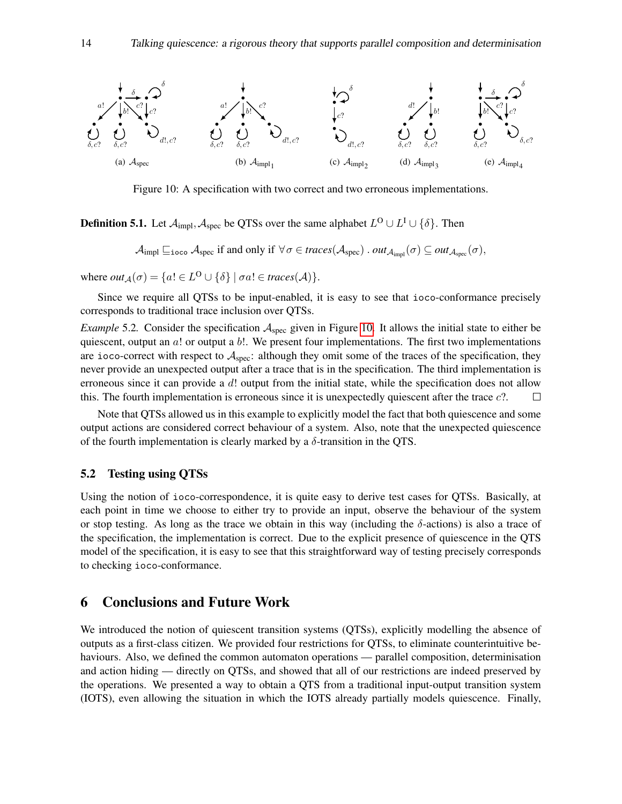

<span id="page-13-1"></span>Figure 10: A specification with two correct and two erroneous implementations.

**Definition 5.1.** Let  $\mathcal{A}_{\text{impl}},\mathcal{A}_{\text{spec}}$  be QTSs over the same alphabet  $L^{\text{O}}\cup L^{\text{I}}\cup\{\delta\}$ . Then

 $\mathcal{A}_{\text{impl}}\subseteq_{\texttt{ioco}}\mathcal{A}_{\text{spec}}$  if and only if  $\forall \sigma \in \text{traces}(\mathcal{A}_{\text{spec}})$  .  $\text{out}_{\mathcal{A}_{\text{input}}}(\sigma) \subseteq \text{out}_{\mathcal{A}_{\text{spec}}}(\sigma)$ ,

where  $out_{\mathcal{A}}(\sigma) = \{a! \in L^{\mathbf{O}} \cup \{\delta\} \mid \sigma a! \in \text{traces}(\mathcal{A})\}.$ 

Since we require all QTSs to be input-enabled, it is easy to see that ioco-conformance precisely corresponds to traditional trace inclusion over QTSs.

*Example* 5.2. Consider the specification  $A_{\text{spec}}$  given in Figure [10.](#page-13-1) It allows the initial state to either be quiescent, output an a! or output a b!. We present four implementations. The first two implementations are ioco-correct with respect to  $A_{\text{spec}}$ : although they omit some of the traces of the specification, they never provide an unexpected output after a trace that is in the specification. The third implementation is erroneous since it can provide a d! output from the initial state, while the specification does not allow this. The fourth implementation is erroneous since it is unexpectedly quiescent after the trace c?.  $\Box$ 

Note that QTSs allowed us in this example to explicitly model the fact that both quiescence and some output actions are considered correct behaviour of a system. Also, note that the unexpected quiescence of the fourth implementation is clearly marked by a  $\delta$ -transition in the QTS.

## 5.2 Testing using QTSs

Using the notion of ioco-correspondence, it is quite easy to derive test cases for QTSs. Basically, at each point in time we choose to either try to provide an input, observe the behaviour of the system or stop testing. As long as the trace we obtain in this way (including the  $\delta$ -actions) is also a trace of the specification, the implementation is correct. Due to the explicit presence of quiescence in the QTS model of the specification, it is easy to see that this straightforward way of testing precisely corresponds to checking ioco-conformance.

# <span id="page-13-0"></span>6 Conclusions and Future Work

We introduced the notion of quiescent transition systems (QTSs), explicitly modelling the absence of outputs as a first-class citizen. We provided four restrictions for QTSs, to eliminate counterintuitive behaviours. Also, we defined the common automaton operations — parallel composition, determinisation and action hiding — directly on QTSs, and showed that all of our restrictions are indeed preserved by the operations. We presented a way to obtain a QTS from a traditional input-output transition system (IOTS), even allowing the situation in which the IOTS already partially models quiescence. Finally,